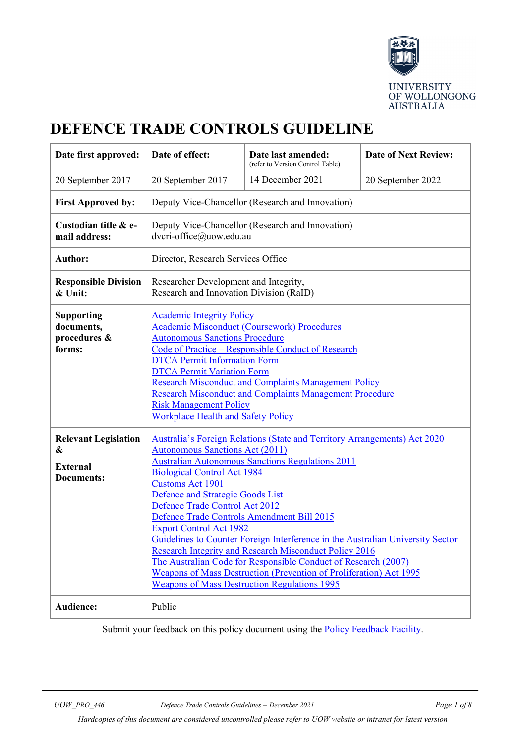

# **DEFENCE TRADE CONTROLS GUIDELINE**

| Date first approved:                                                     | Date of effect:                                                                                                                                                                                                                                                                                                                                                                                                                                                                                                                                                                                                                                                                                                                                                | Date last amended:<br>(refer to Version Control Table) | <b>Date of Next Review:</b> |
|--------------------------------------------------------------------------|----------------------------------------------------------------------------------------------------------------------------------------------------------------------------------------------------------------------------------------------------------------------------------------------------------------------------------------------------------------------------------------------------------------------------------------------------------------------------------------------------------------------------------------------------------------------------------------------------------------------------------------------------------------------------------------------------------------------------------------------------------------|--------------------------------------------------------|-----------------------------|
| 20 September 2017                                                        | 20 September 2017                                                                                                                                                                                                                                                                                                                                                                                                                                                                                                                                                                                                                                                                                                                                              | 14 December 2021                                       | 20 September 2022           |
| <b>First Approved by:</b>                                                | Deputy Vice-Chancellor (Research and Innovation)                                                                                                                                                                                                                                                                                                                                                                                                                                                                                                                                                                                                                                                                                                               |                                                        |                             |
| Custodian title & e-<br>mail address:                                    | Deputy Vice-Chancellor (Research and Innovation)<br>dvcri-office@uow.edu.au                                                                                                                                                                                                                                                                                                                                                                                                                                                                                                                                                                                                                                                                                    |                                                        |                             |
| <b>Author:</b>                                                           | Director, Research Services Office                                                                                                                                                                                                                                                                                                                                                                                                                                                                                                                                                                                                                                                                                                                             |                                                        |                             |
| <b>Responsible Division</b><br>& Unit:                                   | Researcher Development and Integrity,<br>Research and Innovation Division (RaID)                                                                                                                                                                                                                                                                                                                                                                                                                                                                                                                                                                                                                                                                               |                                                        |                             |
| <b>Supporting</b><br>documents,<br>procedures &<br>forms:                | <b>Academic Integrity Policy</b><br><b>Academic Misconduct (Coursework) Procedures</b><br><b>Autonomous Sanctions Procedure</b><br>Code of Practice - Responsible Conduct of Research<br><b>DTCA Permit Information Form</b><br><b>DTCA Permit Variation Form</b><br><b>Research Misconduct and Complaints Management Policy</b><br><b>Research Misconduct and Complaints Management Procedure</b><br><b>Risk Management Policy</b><br><b>Workplace Health and Safety Policy</b>                                                                                                                                                                                                                                                                               |                                                        |                             |
| <b>Relevant Legislation</b><br>&<br><b>External</b><br><b>Documents:</b> | <b>Australia's Foreign Relations (State and Territory Arrangements) Act 2020</b><br><b>Autonomous Sanctions Act (2011)</b><br><b>Australian Autonomous Sanctions Regulations 2011</b><br><b>Biological Control Act 1984</b><br><b>Customs Act 1901</b><br>Defence and Strategic Goods List<br>Defence Trade Control Act 2012<br>Defence Trade Controls Amendment Bill 2015<br><b>Export Control Act 1982</b><br>Guidelines to Counter Foreign Interference in the Australian University Sector<br><b>Research Integrity and Research Misconduct Policy 2016</b><br>The Australian Code for Responsible Conduct of Research (2007)<br>Weapons of Mass Destruction (Prevention of Proliferation) Act 1995<br><b>Weapons of Mass Destruction Regulations 1995</b> |                                                        |                             |
| Audience:                                                                | Public                                                                                                                                                                                                                                                                                                                                                                                                                                                                                                                                                                                                                                                                                                                                                         |                                                        |                             |

Submit your feedback on this policy document using the **Policy Feedback Facility**.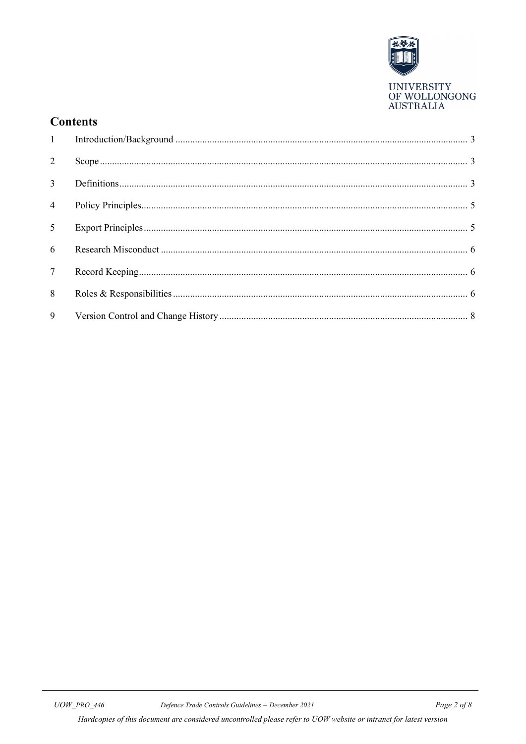

# **Contents**

| 2               |  |
|-----------------|--|
| $\overline{3}$  |  |
| $\overline{4}$  |  |
| 5 <sup>7</sup>  |  |
| 6 <sup>1</sup>  |  |
| $7\overline{ }$ |  |
| 8               |  |
| 9               |  |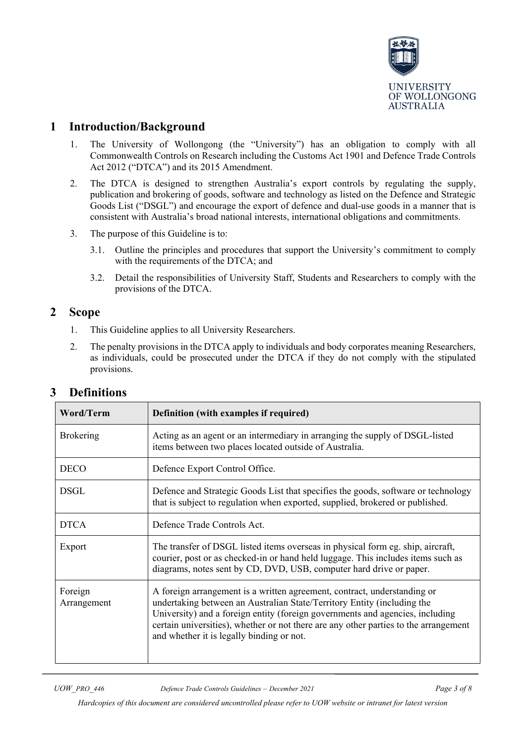

# <span id="page-2-0"></span>**1 Introduction/Background**

- 1. The University of Wollongong (the "University") has an obligation to comply with all Commonwealth Controls on Research including the Customs Act 1901 and Defence Trade Controls Act 2012 ("DTCA") and its 2015 Amendment.
- 2. The DTCA is designed to strengthen Australia's export controls by regulating the supply, publication and brokering of goods, software and technology as listed on the Defence and Strategic Goods List ("DSGL") and encourage the export of defence and dual-use goods in a manner that is consistent with Australia's broad national interests, international obligations and commitments.
- 3. The purpose of this Guideline is to:
	- 3.1. Outline the principles and procedures that support the University's commitment to comply with the requirements of the DTCA; and
	- 3.2. Detail the responsibilities of University Staff, Students and Researchers to comply with the provisions of the DTCA.

#### <span id="page-2-1"></span>**2 Scope**

- 1. This Guideline applies to all University Researchers.
- 2. The penalty provisions in the DTCA apply to individuals and body corporates meaning Researchers, as individuals, could be prosecuted under the DTCA if they do not comply with the stipulated provisions.

| <b>Word/Term</b>       | Definition (with examples if required)                                                                                                                                                                                                                                                                                                                                    |  |
|------------------------|---------------------------------------------------------------------------------------------------------------------------------------------------------------------------------------------------------------------------------------------------------------------------------------------------------------------------------------------------------------------------|--|
| <b>Brokering</b>       | Acting as an agent or an intermediary in arranging the supply of DSGL-listed<br>items between two places located outside of Australia.                                                                                                                                                                                                                                    |  |
| <b>DECO</b>            | Defence Export Control Office.                                                                                                                                                                                                                                                                                                                                            |  |
| <b>DSGL</b>            | Defence and Strategic Goods List that specifies the goods, software or technology<br>that is subject to regulation when exported, supplied, brokered or published.                                                                                                                                                                                                        |  |
| <b>DTCA</b>            | Defence Trade Controls Act.                                                                                                                                                                                                                                                                                                                                               |  |
| Export                 | The transfer of DSGL listed items overseas in physical form eg. ship, aircraft,<br>courier, post or as checked-in or hand held luggage. This includes items such as<br>diagrams, notes sent by CD, DVD, USB, computer hard drive or paper.                                                                                                                                |  |
| Foreign<br>Arrangement | A foreign arrangement is a written agreement, contract, understanding or<br>undertaking between an Australian State/Territory Entity (including the<br>University) and a foreign entity (foreign governments and agencies, including<br>certain universities), whether or not there are any other parties to the arrangement<br>and whether it is legally binding or not. |  |

# <span id="page-2-2"></span>**3 Definitions**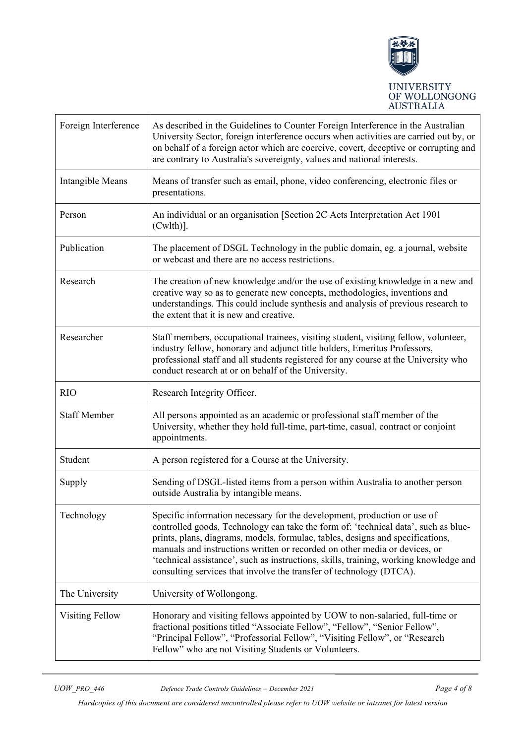

| Foreign Interference | As described in the Guidelines to Counter Foreign Interference in the Australian<br>University Sector, foreign interference occurs when activities are carried out by, or<br>on behalf of a foreign actor which are coercive, covert, deceptive or corrupting and<br>are contrary to Australia's sovereignty, values and national interests.                                                                                                                                                   |  |
|----------------------|------------------------------------------------------------------------------------------------------------------------------------------------------------------------------------------------------------------------------------------------------------------------------------------------------------------------------------------------------------------------------------------------------------------------------------------------------------------------------------------------|--|
| Intangible Means     | Means of transfer such as email, phone, video conferencing, electronic files or<br>presentations.                                                                                                                                                                                                                                                                                                                                                                                              |  |
| Person               | An individual or an organisation [Section 2C Acts Interpretation Act 1901<br>$(Cwlth)$ ].                                                                                                                                                                                                                                                                                                                                                                                                      |  |
| Publication          | The placement of DSGL Technology in the public domain, eg. a journal, website<br>or webcast and there are no access restrictions.                                                                                                                                                                                                                                                                                                                                                              |  |
| Research             | The creation of new knowledge and/or the use of existing knowledge in a new and<br>creative way so as to generate new concepts, methodologies, inventions and<br>understandings. This could include synthesis and analysis of previous research to<br>the extent that it is new and creative.                                                                                                                                                                                                  |  |
| Researcher           | Staff members, occupational trainees, visiting student, visiting fellow, volunteer,<br>industry fellow, honorary and adjunct title holders, Emeritus Professors,<br>professional staff and all students registered for any course at the University who<br>conduct research at or on behalf of the University.                                                                                                                                                                                 |  |
| <b>RIO</b>           | Research Integrity Officer.                                                                                                                                                                                                                                                                                                                                                                                                                                                                    |  |
| <b>Staff Member</b>  | All persons appointed as an academic or professional staff member of the<br>University, whether they hold full-time, part-time, casual, contract or conjoint<br>appointments.                                                                                                                                                                                                                                                                                                                  |  |
| Student              | A person registered for a Course at the University.                                                                                                                                                                                                                                                                                                                                                                                                                                            |  |
| Supply               | Sending of DSGL-listed items from a person within Australia to another person<br>outside Australia by intangible means.                                                                                                                                                                                                                                                                                                                                                                        |  |
| Technology           | Specific information necessary for the development, production or use of<br>controlled goods. Technology can take the form of: 'technical data', such as blue-<br>prints, plans, diagrams, models, formulae, tables, designs and specifications,<br>manuals and instructions written or recorded on other media or devices, or<br>'technical assistance', such as instructions, skills, training, working knowledge and<br>consulting services that involve the transfer of technology (DTCA). |  |
| The University       | University of Wollongong.                                                                                                                                                                                                                                                                                                                                                                                                                                                                      |  |
| Visiting Fellow      | Honorary and visiting fellows appointed by UOW to non-salaried, full-time or<br>fractional positions titled "Associate Fellow", "Fellow", "Senior Fellow",<br>"Principal Fellow", "Professorial Fellow", "Visiting Fellow", or "Research<br>Fellow" who are not Visiting Students or Volunteers.                                                                                                                                                                                               |  |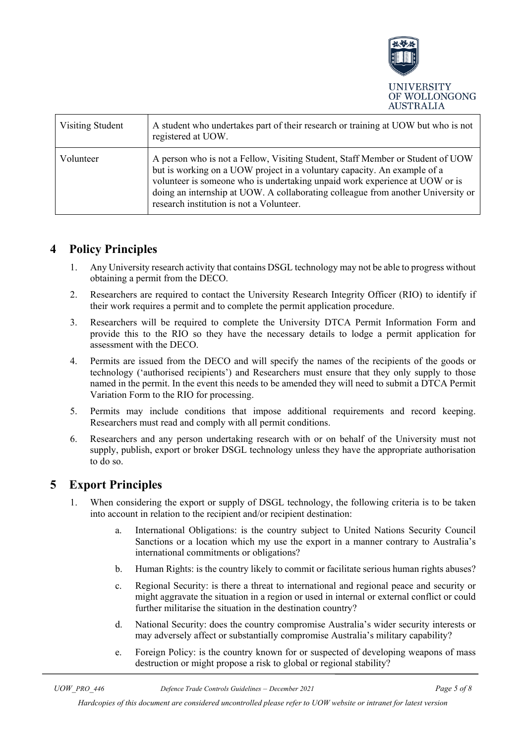

| Visiting Student | A student who undertakes part of their research or training at UOW but who is not<br>registered at UOW.                                                                                                                                                                                                                                                                   |
|------------------|---------------------------------------------------------------------------------------------------------------------------------------------------------------------------------------------------------------------------------------------------------------------------------------------------------------------------------------------------------------------------|
| Volunteer        | A person who is not a Fellow, Visiting Student, Staff Member or Student of UOW<br>but is working on a UOW project in a voluntary capacity. An example of a<br>volunteer is someone who is undertaking unpaid work experience at UOW or is<br>doing an internship at UOW. A collaborating colleague from another University or<br>research institution is not a Volunteer. |

## <span id="page-4-0"></span>**4 Policy Principles**

- 1. Any University research activity that contains DSGL technology may not be able to progress without obtaining a permit from the DECO.
- 2. Researchers are required to contact the University Research Integrity Officer (RIO) to identify if their work requires a permit and to complete the permit application procedure.
- 3. Researchers will be required to complete the University DTCA Permit Information Form and provide this to the RIO so they have the necessary details to lodge a permit application for assessment with the DECO.
- 4. Permits are issued from the DECO and will specify the names of the recipients of the goods or technology ('authorised recipients') and Researchers must ensure that they only supply to those named in the permit. In the event this needs to be amended they will need to submit a DTCA Permit Variation Form to the RIO for processing.
- 5. Permits may include conditions that impose additional requirements and record keeping. Researchers must read and comply with all permit conditions.
- 6. Researchers and any person undertaking research with or on behalf of the University must not supply, publish, export or broker DSGL technology unless they have the appropriate authorisation to do so.

# <span id="page-4-1"></span>**5 Export Principles**

- 1. When considering the export or supply of DSGL technology, the following criteria is to be taken into account in relation to the recipient and/or recipient destination:
	- a. International Obligations: is the country subject to United Nations Security Council Sanctions or a location which my use the export in a manner contrary to Australia's international commitments or obligations?
	- b. Human Rights: is the country likely to commit or facilitate serious human rights abuses?
	- c. Regional Security: is there a threat to international and regional peace and security or might aggravate the situation in a region or used in internal or external conflict or could further militarise the situation in the destination country?
	- d. National Security: does the country compromise Australia's wider security interests or may adversely affect or substantially compromise Australia's military capability?
	- e. Foreign Policy: is the country known for or suspected of developing weapons of mass destruction or might propose a risk to global or regional stability?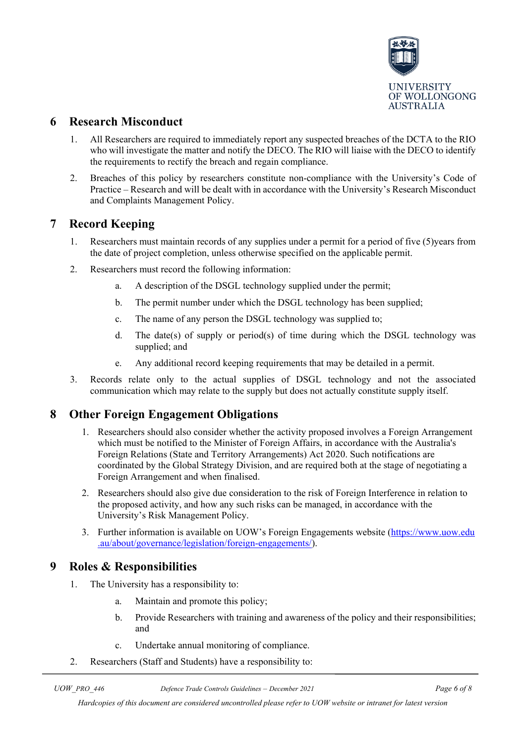

## <span id="page-5-0"></span>**6 Research Misconduct**

- 1. All Researchers are required to immediately report any suspected breaches of the DCTA to the RIO who will investigate the matter and notify the DECO. The RIO will liaise with the DECO to identify the requirements to rectify the breach and regain compliance.
- 2. Breaches of this policy by researchers constitute non-compliance with the University's Code of Practice – Research and will be dealt with in accordance with the University's Research Misconduct and Complaints Management Policy.

## <span id="page-5-1"></span>**7 Record Keeping**

- 1. Researchers must maintain records of any supplies under a permit for a period of five (5)years from the date of project completion, unless otherwise specified on the applicable permit.
- 2. Researchers must record the following information:
	- a. A description of the DSGL technology supplied under the permit;
	- b. The permit number under which the DSGL technology has been supplied;
	- c. The name of any person the DSGL technology was supplied to;
	- d. The date(s) of supply or period(s) of time during which the DSGL technology was supplied; and
	- e. Any additional record keeping requirements that may be detailed in a permit.
- 3. Records relate only to the actual supplies of DSGL technology and not the associated communication which may relate to the supply but does not actually constitute supply itself.

#### <span id="page-5-2"></span>**8 Other Foreign Engagement Obligations**

- 1. Researchers should also consider whether the activity proposed involves a Foreign Arrangement which must be notified to the Minister of Foreign Affairs, in accordance with the Australia's Foreign Relations (State and Territory Arrangements) Act 2020. Such notifications are coordinated by the Global Strategy Division, and are required both at the stage of negotiating a Foreign Arrangement and when finalised.
- 2. Researchers should also give due consideration to the risk of Foreign Interference in relation to the proposed activity, and how any such risks can be managed, in accordance with the University's Risk Management Policy.
- 3. Further information is available on UOW's Foreign Engagements website [\(https://www.uow.edu](https://www.uow.edu.au/about/governance/legislation/foreign-engagements/) [.au/about/governance/legislation/foreign-engagements/\)](https://www.uow.edu.au/about/governance/legislation/foreign-engagements/).

#### **9 Roles & Responsibilities**

- 1. The University has a responsibility to:
	- a. Maintain and promote this policy;
	- b. Provide Researchers with training and awareness of the policy and their responsibilities; and
	- c. Undertake annual monitoring of compliance.
- 2. Researchers (Staff and Students) have a responsibility to: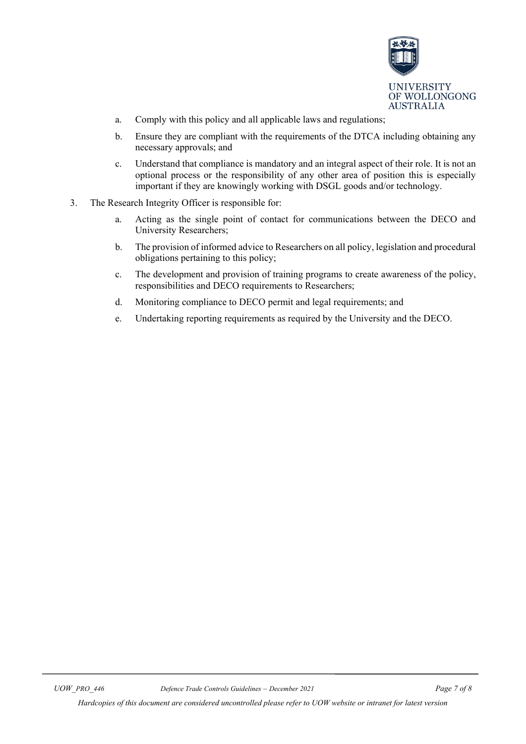

- a. Comply with this policy and all applicable laws and regulations;
- b. Ensure they are compliant with the requirements of the DTCA including obtaining any necessary approvals; and
- c. Understand that compliance is mandatory and an integral aspect of their role. It is not an optional process or the responsibility of any other area of position this is especially important if they are knowingly working with DSGL goods and/or technology.
- 3. The Research Integrity Officer is responsible for:
	- a. Acting as the single point of contact for communications between the DECO and University Researchers;
	- b. The provision of informed advice to Researchers on all policy, legislation and procedural obligations pertaining to this policy;
	- c. The development and provision of training programs to create awareness of the policy, responsibilities and DECO requirements to Researchers;
	- d. Monitoring compliance to DECO permit and legal requirements; and
	- e. Undertaking reporting requirements as required by the University and the DECO.